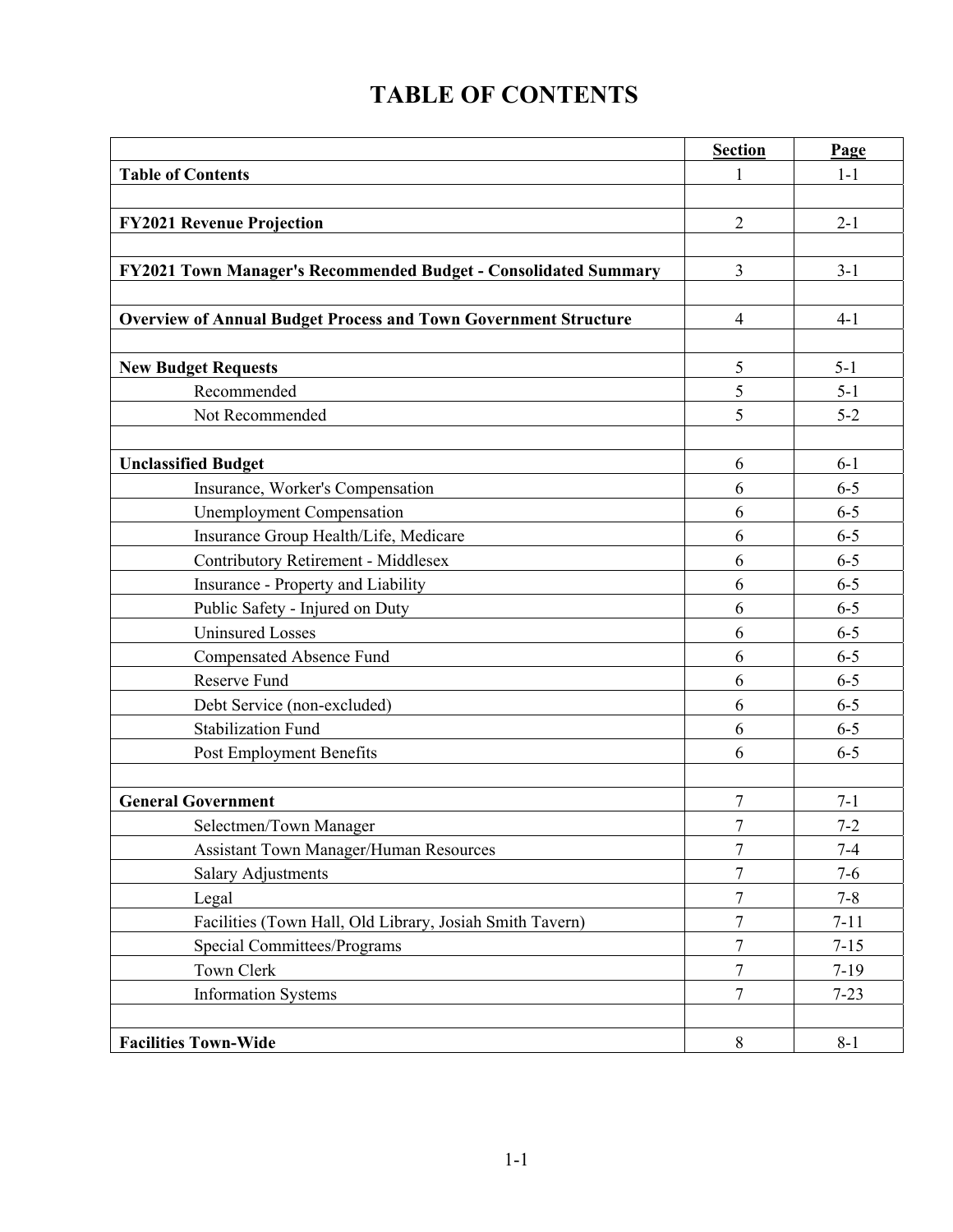## **TABLE OF CONTENTS**

|                                                                        | <b>Section</b> | Page     |
|------------------------------------------------------------------------|----------------|----------|
| <b>Table of Contents</b>                                               | 1              | $1-1$    |
|                                                                        |                |          |
| <b>FY2021 Revenue Projection</b>                                       | $\overline{2}$ | $2 - 1$  |
|                                                                        |                |          |
| FY2021 Town Manager's Recommended Budget - Consolidated Summary        | 3              | $3-1$    |
|                                                                        |                |          |
| <b>Overview of Annual Budget Process and Town Government Structure</b> | $\overline{4}$ | $4-1$    |
|                                                                        |                |          |
| <b>New Budget Requests</b>                                             | 5              | $5 - 1$  |
| Recommended                                                            | 5              | $5 - 1$  |
| Not Recommended                                                        | 5              | $5 - 2$  |
|                                                                        |                |          |
| <b>Unclassified Budget</b>                                             | 6              | $6 - 1$  |
| Insurance, Worker's Compensation                                       | 6              | $6 - 5$  |
| <b>Unemployment Compensation</b>                                       | 6              | $6 - 5$  |
| Insurance Group Health/Life, Medicare                                  | 6              | $6 - 5$  |
| Contributory Retirement - Middlesex                                    | 6              | $6 - 5$  |
| Insurance - Property and Liability                                     | 6              | $6 - 5$  |
| Public Safety - Injured on Duty                                        | 6              | $6 - 5$  |
| <b>Uninsured Losses</b>                                                | 6              | $6 - 5$  |
| Compensated Absence Fund                                               | 6              | $6 - 5$  |
| Reserve Fund                                                           | 6              | $6 - 5$  |
| Debt Service (non-excluded)                                            | 6              | $6 - 5$  |
| <b>Stabilization Fund</b>                                              | 6              | $6 - 5$  |
| Post Employment Benefits                                               | 6              | $6 - 5$  |
|                                                                        |                |          |
| <b>General Government</b>                                              | 7              | $7-1$    |
| Selectmen/Town Manager                                                 | $\overline{7}$ | $7 - 2$  |
| <b>Assistant Town Manager/Human Resources</b>                          | $\overline{7}$ | $7 - 4$  |
| Salary Adjustments                                                     | $\overline{7}$ | $7 - 6$  |
| Legal                                                                  | 7              | $7 - 8$  |
| Facilities (Town Hall, Old Library, Josiah Smith Tavern)               | $\tau$         | $7 - 11$ |
| <b>Special Committees/Programs</b>                                     | $\overline{7}$ | $7 - 15$ |
| Town Clerk                                                             | $\sqrt{ }$     | $7-19$   |
| <b>Information Systems</b>                                             | $\overline{7}$ | $7 - 23$ |
|                                                                        |                |          |
| <b>Facilities Town-Wide</b>                                            | $8\,$          | $8 - 1$  |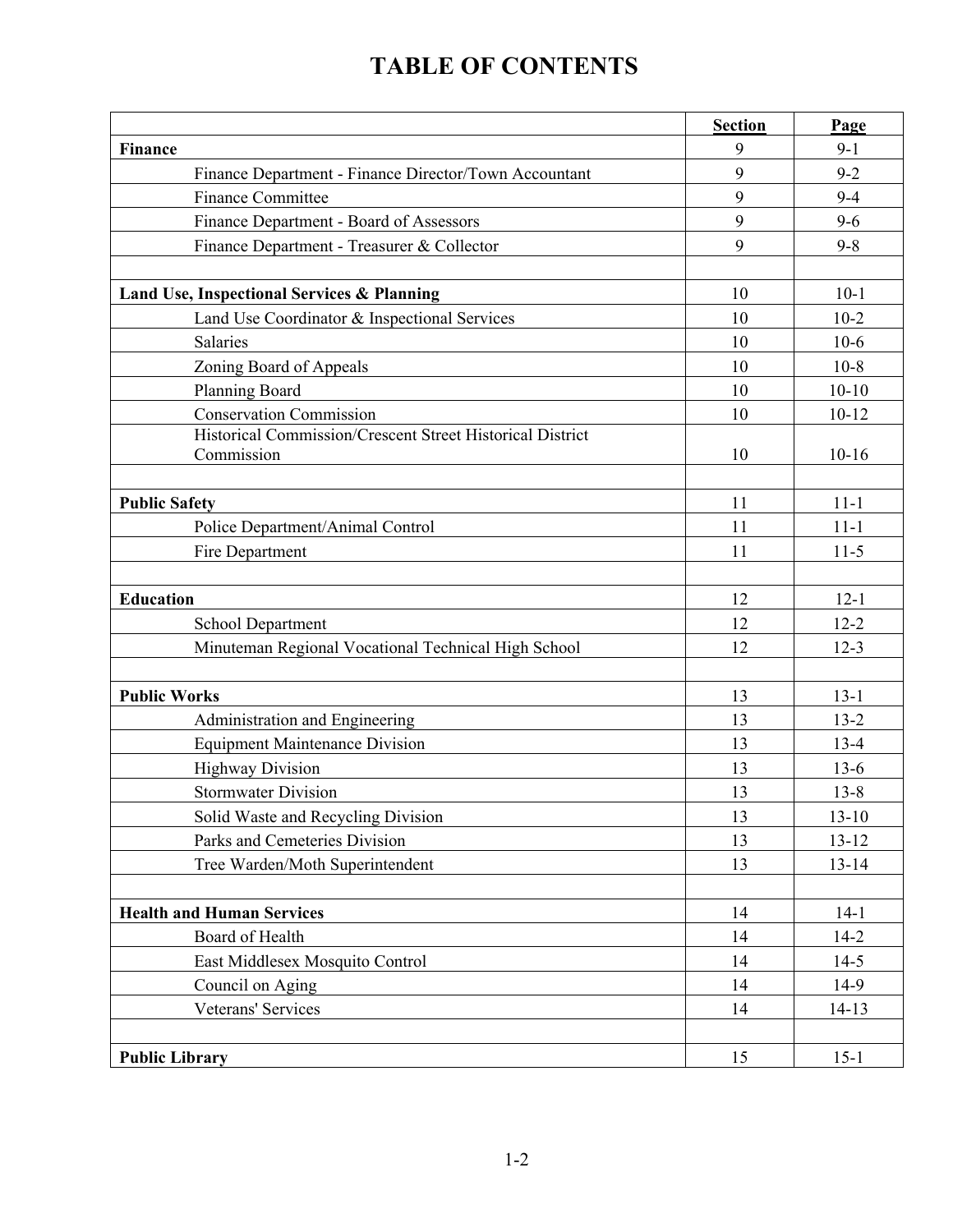## **TABLE OF CONTENTS**

|                                                                          | <b>Section</b> | Page      |
|--------------------------------------------------------------------------|----------------|-----------|
| <b>Finance</b>                                                           | 9              | $9-1$     |
| Finance Department - Finance Director/Town Accountant                    | 9              | $9 - 2$   |
| <b>Finance Committee</b>                                                 | 9              | $9 - 4$   |
| Finance Department - Board of Assessors                                  | 9              | $9 - 6$   |
| Finance Department - Treasurer & Collector                               | 9              | $9 - 8$   |
|                                                                          |                |           |
| Land Use, Inspectional Services & Planning                               | 10             | $10-1$    |
| Land Use Coordinator & Inspectional Services                             | 10             | $10-2$    |
| Salaries                                                                 | 10             | $10-6$    |
| Zoning Board of Appeals                                                  | 10             | $10-8$    |
| Planning Board                                                           | 10             | $10 - 10$ |
| <b>Conservation Commission</b>                                           | 10             | $10 - 12$ |
| Historical Commission/Crescent Street Historical District                |                |           |
| Commission                                                               | 10             | $10-16$   |
|                                                                          |                |           |
| <b>Public Safety</b>                                                     | 11             | $11 - 1$  |
| Police Department/Animal Control                                         | 11             | $11 - 1$  |
| Fire Department                                                          | 11             | $11-5$    |
| <b>Education</b>                                                         | 12             | $12 - 1$  |
|                                                                          | 12             | $12 - 2$  |
| School Department<br>Minuteman Regional Vocational Technical High School | 12             | $12 - 3$  |
|                                                                          |                |           |
| <b>Public Works</b>                                                      | 13             | $13-1$    |
| Administration and Engineering                                           | 13             | $13 - 2$  |
| <b>Equipment Maintenance Division</b>                                    | 13             | $13 - 4$  |
| <b>Highway Division</b>                                                  | 13             | $13-6$    |
| <b>Stormwater Division</b>                                               | 13             | $13 - 8$  |
| Solid Waste and Recycling Division                                       | 13             | $13 - 10$ |
| Parks and Cemeteries Division                                            | 13             | $13 - 12$ |
| Tree Warden/Moth Superintendent                                          | 13             | $13 - 14$ |
|                                                                          |                |           |
| <b>Health and Human Services</b>                                         | 14             | $14-1$    |
| Board of Health                                                          | 14             | $14-2$    |
| East Middlesex Mosquito Control                                          | 14             | $14-5$    |
| Council on Aging                                                         | 14             | 14-9      |
| Veterans' Services                                                       | 14             | $14-13$   |
|                                                                          |                |           |
| <b>Public Library</b>                                                    | 15             | $15-1$    |